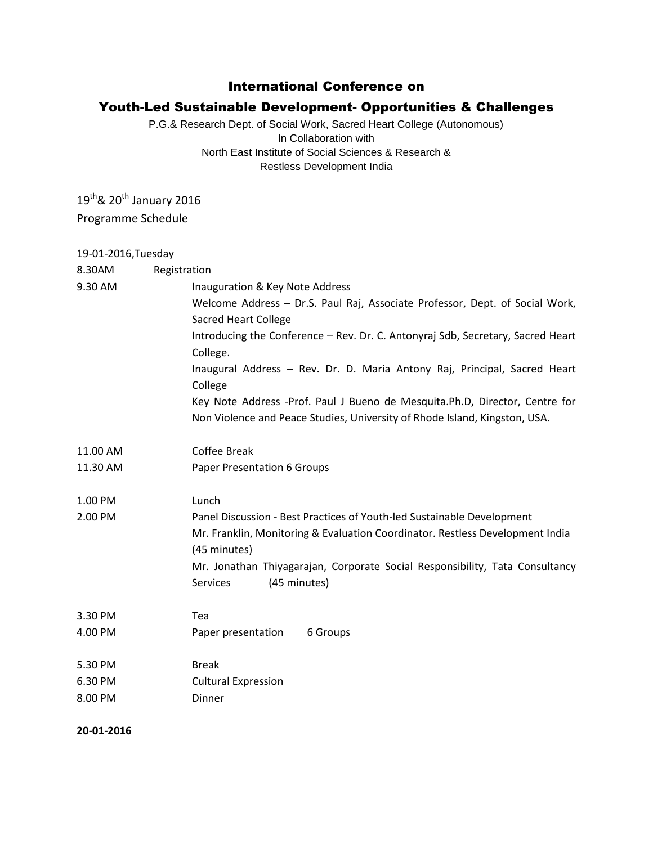## International Conference on

## Youth-Led Sustainable Development- Opportunities & Challenges

P.G.& Research Dept. of Social Work, Sacred Heart College (Autonomous) In Collaboration with North East Institute of Social Sciences & Research & Restless Development India

 $19^{\text{th}}$ & 20<sup>th</sup> January 2016 Programme Schedule

19-01-2016,Tuesday

| 8.30AM   | Registration                                                                                             |
|----------|----------------------------------------------------------------------------------------------------------|
| 9.30 AM  | Inauguration & Key Note Address                                                                          |
|          | Welcome Address - Dr.S. Paul Raj, Associate Professor, Dept. of Social Work,                             |
|          | <b>Sacred Heart College</b>                                                                              |
|          | Introducing the Conference - Rev. Dr. C. Antonyraj Sdb, Secretary, Sacred Heart<br>College.              |
|          | Inaugural Address - Rev. Dr. D. Maria Antony Raj, Principal, Sacred Heart<br>College                     |
|          | Key Note Address -Prof. Paul J Bueno de Mesquita.Ph.D, Director, Centre for                              |
|          | Non Violence and Peace Studies, University of Rhode Island, Kingston, USA.                               |
| 11.00 AM | <b>Coffee Break</b>                                                                                      |
| 11.30 AM | Paper Presentation 6 Groups                                                                              |
| 1.00 PM  | Lunch                                                                                                    |
| 2.00 PM  | Panel Discussion - Best Practices of Youth-led Sustainable Development                                   |
|          | Mr. Franklin, Monitoring & Evaluation Coordinator. Restless Development India                            |
|          | (45 minutes)                                                                                             |
|          | Mr. Jonathan Thiyagarajan, Corporate Social Responsibility, Tata Consultancy<br>Services<br>(45 minutes) |
| 3.30 PM  | Tea                                                                                                      |
| 4.00 PM  | Paper presentation<br>6 Groups                                                                           |
| 5.30 PM  | <b>Break</b>                                                                                             |
| 6.30 PM  | <b>Cultural Expression</b>                                                                               |
| 8.00 PM  | Dinner                                                                                                   |

**20-01-2016**